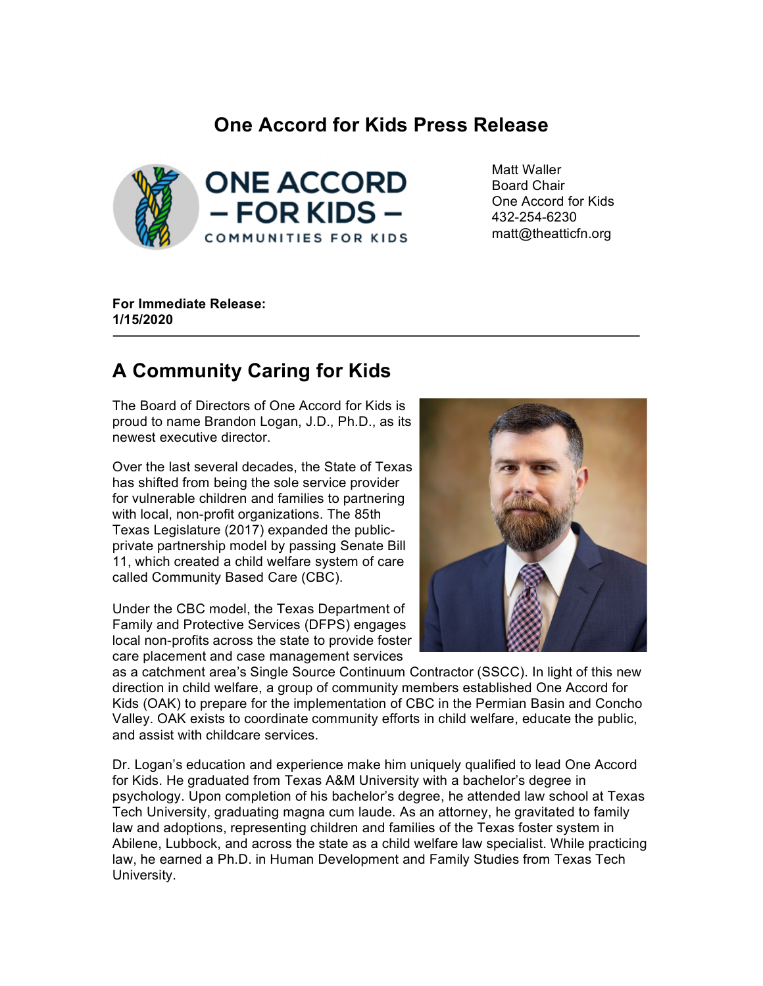## **One Accord for Kids Press Release**



Matt Waller Board Chair One Accord for Kids 432-254-6230 matt@theatticfn.org

**For Immediate Release: 1/15/2020**

## **A Community Caring for Kids**

The Board of Directors of One Accord for Kids is proud to name Brandon Logan, J.D., Ph.D., as its newest executive director.

Over the last several decades, the State of Texas has shifted from being the sole service provider for vulnerable children and families to partnering with local, non-profit organizations. The 85th Texas Legislature (2017) expanded the publicprivate partnership model by passing Senate Bill 11, which created a child welfare system of care called Community Based Care (CBC).

Under the CBC model, the Texas Department of Family and Protective Services (DFPS) engages local non-profits across the state to provide foster care placement and case management services



as a catchment area's Single Source Continuum Contractor (SSCC). In light of this new direction in child welfare, a group of community members established One Accord for Kids (OAK) to prepare for the implementation of CBC in the Permian Basin and Concho Valley. OAK exists to coordinate community efforts in child welfare, educate the public, and assist with childcare services.

Dr. Logan's education and experience make him uniquely qualified to lead One Accord for Kids. He graduated from Texas A&M University with a bachelor's degree in psychology. Upon completion of his bachelor's degree, he attended law school at Texas Tech University, graduating magna cum laude. As an attorney, he gravitated to family law and adoptions, representing children and families of the Texas foster system in Abilene, Lubbock, and across the state as a child welfare law specialist. While practicing law, he earned a Ph.D. in Human Development and Family Studies from Texas Tech University.